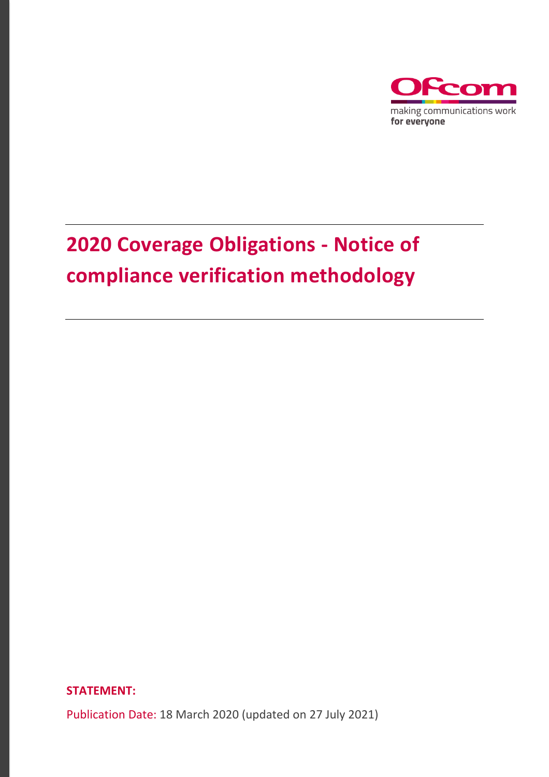

# **2020 Coverage Obligations - Notice of compliance verification methodology**

**STATEMENT:** 

Publication Date: 18 March 2020 (updated on 27 July 2021)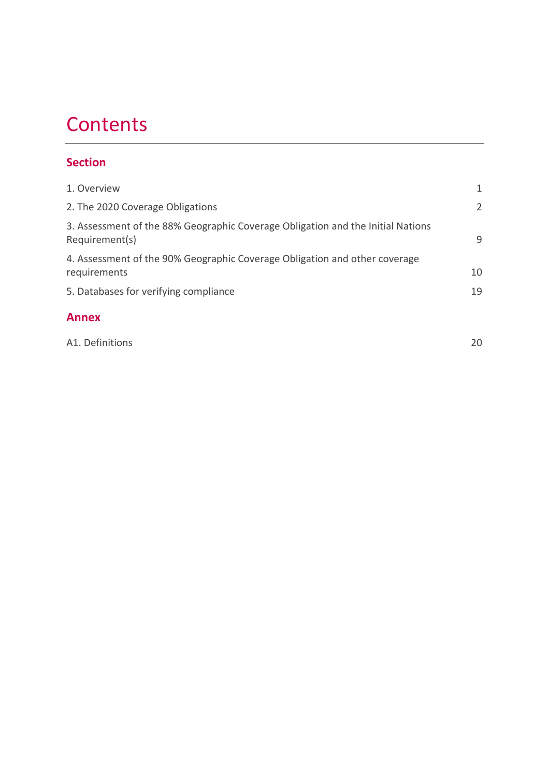# **Contents**

# **Section**

| 1. Overview                                                                                       |    |
|---------------------------------------------------------------------------------------------------|----|
| 2. The 2020 Coverage Obligations                                                                  | 2  |
| 3. Assessment of the 88% Geographic Coverage Obligation and the Initial Nations<br>Requirement(s) | 9  |
| 4. Assessment of the 90% Geographic Coverage Obligation and other coverage<br>requirements        | 10 |
| 5. Databases for verifying compliance                                                             | 19 |
|                                                                                                   |    |

## **Annex**

[A1. Definitions](#page-21-0) 20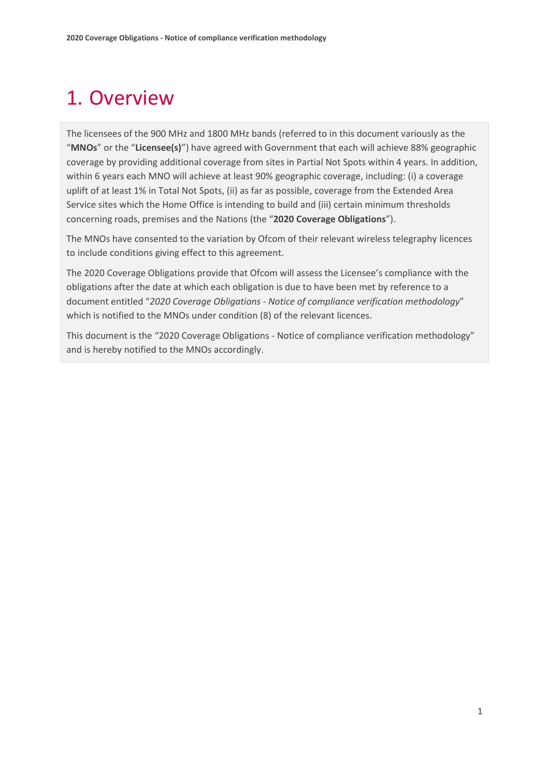# <span id="page-2-0"></span>1. Overview

The licensees of the 900 MHz and 1800 MHz bands (referred to in this document variously as the "**MNOs**" or the "**Licensee(s)**") have agreed with Government that each will achieve 88% geographic coverage by providing additional coverage from sites in Partial Not Spots within 4 years. In addition, within 6 years each MNO will achieve at least 90% geographic coverage, including: (i) a coverage uplift of at least 1% in Total Not Spots, (ii) as far as possible, coverage from the Extended Area Service sites which the Home Office is intending to build and (iii) certain minimum thresholds concerning roads, premises and the Nations (the "**2020 Coverage Obligations**").

The MNOs have consented to the variation by Ofcom of their relevant wireless telegraphy licences to include conditions giving effect to this agreement.

The 2020 Coverage Obligations provide that Ofcom will assess the Licensee's compliance with the obligations after the date at which each obligation is due to have been met by reference to a document entitled "*2020 Coverage Obligations - Notice of compliance verification methodology*" which is notified to the MNOs under condition (8) of the relevant licences.

This document is the "2020 Coverage Obligations - Notice of compliance verification methodology" and is hereby notified to the MNOs accordingly.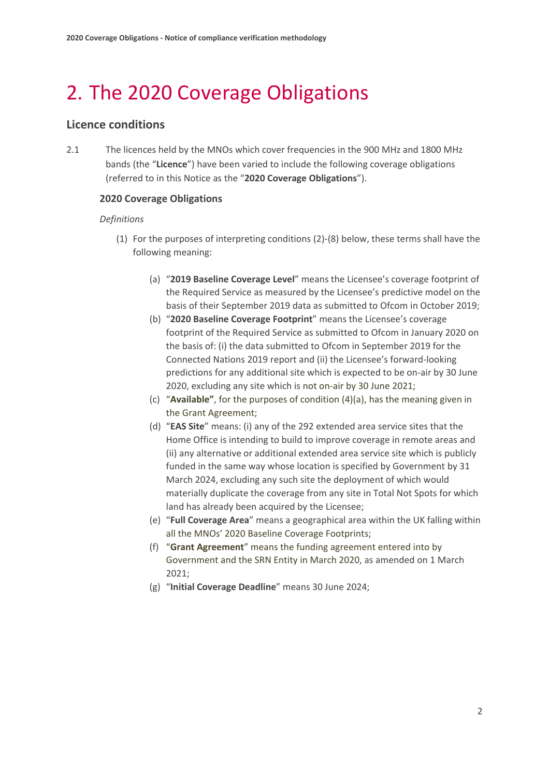# 2. The 2020 Coverage Obligations

### **Licence conditions**

2.1 The licences held by the MNOs which cover frequencies in the 900 MHz and 1800 MHz bands (the "**Licence**") have been varied to include the following coverage obligations (referred to in this Notice as the "**2020 Coverage Obligations**").

#### **2020 Coverage Obligations**

#### *Definitions*

- (1) For the purposes of interpreting conditions (2)-(8) below, these terms shall have the following meaning:
	- (a) "**2019 Baseline Coverage Level**" means the Licensee's coverage footprint of the Required Service as measured by the Licensee's predictive model on the basis of their September 2019 data as submitted to Ofcom in October 2019;
	- (b) "**2020 Baseline Coverage Footprint**" means the Licensee's coverage footprint of the Required Service as submitted to Ofcom in January 2020 on the basis of: (i) the data submitted to Ofcom in September 2019 for the Connected Nations 2019 report and (ii) the Licensee's forward-looking predictions for any additional site which is expected to be on-air by 30 June 2020, excluding any site which is not on-air by 30 June 2021;
	- (c) "**Available"**, for the purposes of condition (4)(a), has the meaning given in the Grant Agreement;
	- (d) "**EAS Site**" means: (i) any of the 292 extended area service sites that the Home Office is intending to build to improve coverage in remote areas and (ii) any alternative or additional extended area service site which is publicly funded in the same way whose location is specified by Government by 31 March 2024, excluding any such site the deployment of which would materially duplicate the coverage from any site in Total Not Spots for which land has already been acquired by the Licensee;
	- (e) "**Full Coverage Area**" means a geographical area within the UK falling within all the MNOs' 2020 Baseline Coverage Footprints;
	- (f) "**Grant Agreement**" means the funding agreement entered into by Government and the SRN Entity in March 2020, as amended on 1 March 2021;
	- (g) "**Initial Coverage Deadline**" means 30 June 2024;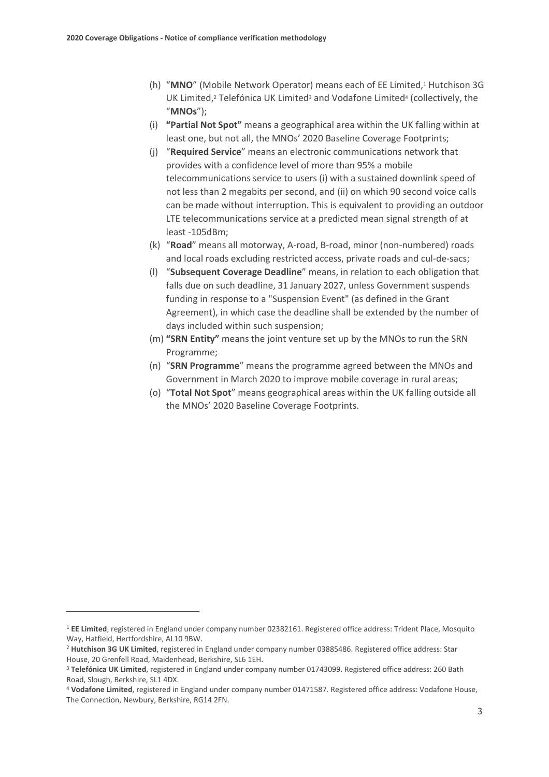- (h) "MNO" (Mobile Network Operator) means each of EE Limited,<sup>1</sup> Hutchison 3G UK Limited, $\scriptstyle{2}$  Telefónica UK Limited $\scriptstyle{3}$  and Vodafone Limited $\scriptstyle{4}$  (collectively, the "**MNOs**");
- (i) **"Partial Not Spot"** means a geographical area within the UK falling within at least one, but not all, the MNOs' 2020 Baseline Coverage Footprints;
- (j) "**Required Service**" means an electronic communications network that provides with a confidence level of more than 95% a mobile telecommunications service to users (i) with a sustained downlink speed of not less than 2 megabits per second, and (ii) on which 90 second voice calls can be made without interruption. This is equivalent to providing an outdoor LTE telecommunications service at a predicted mean signal strength of at least -105dBm;
- (k) "**Road**" means all motorway, A-road, B-road, minor (non-numbered) roads and local roads excluding restricted access, private roads and cul-de-sacs;
- (l) "**Subsequent Coverage Deadline**" means, in relation to each obligation that falls due on such deadline, 31 January 2027, unless Government suspends funding in response to a "Suspension Event" (as defined in the Grant Agreement), in which case the deadline shall be extended by the number of days included within such suspension;
- (m) **"SRN Entity"** means the joint venture set up by the MNOs to run the SRN Programme;
- (n) "**SRN Programme**" means the programme agreed between the MNOs and Government in March 2020 to improve mobile coverage in rural areas;
- (o) "**Total Not Spot**" means geographical areas within the UK falling outside all the MNOs' 2020 Baseline Coverage Footprints.

<sup>1</sup> **EE Limited**, registered in England under company number 02382161. Registered office address: Trident Place, Mosquito Way, Hatfield, Hertfordshire, AL10 9BW.

<sup>2</sup> **Hutchison 3G UK Limited**, registered in England under company number 03885486. Registered office address: Star House, 20 Grenfell Road, Maidenhead, Berkshire, SL6 1EH.

<sup>3</sup> **Telefónica UK Limited**, registered in England under company number 01743099. Registered office address: 260 Bath Road, Slough, Berkshire, SL1 4DX.

<sup>4</sup> **Vodafone Limited**, registered in England under company number 01471587. Registered office address: Vodafone House, The Connection, Newbury, Berkshire, RG14 2FN.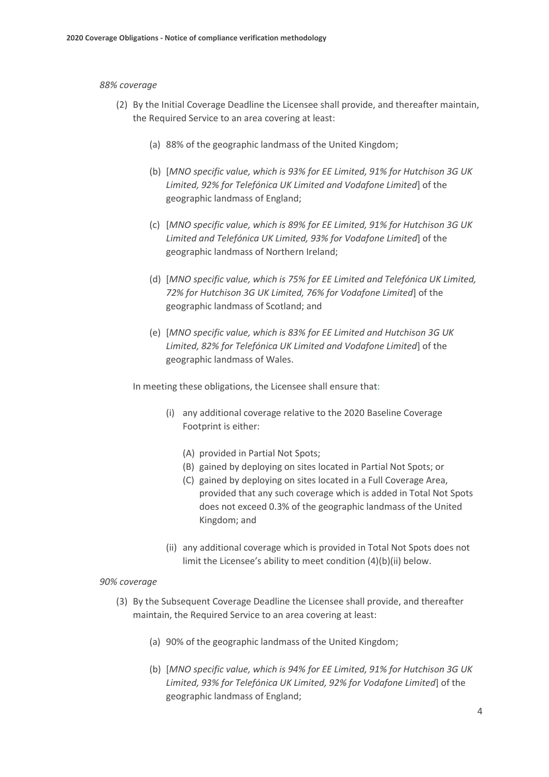#### *88% coverage*

- (2) By the Initial Coverage Deadline the Licensee shall provide, and thereafter maintain, the Required Service to an area covering at least:
	- (a) 88% of the geographic landmass of the United Kingdom;
	- (b) [*MNO specific value, which is 93% for EE Limited, 91% for Hutchison 3G UK Limited, 92% for Telefónica UK Limited and Vodafone Limited*] of the geographic landmass of England;
	- (c) [*MNO specific value, which is 89% for EE Limited, 91% for Hutchison 3G UK Limited and Telefónica UK Limited, 93% for Vodafone Limited*] of the geographic landmass of Northern Ireland;
	- (d) [*MNO specific value, which is 75% for EE Limited and Telefónica UK Limited, 72% for Hutchison 3G UK Limited, 76% for Vodafone Limited*] of the geographic landmass of Scotland; and
	- (e) [*MNO specific value, which is 83% for EE Limited and Hutchison 3G UK Limited, 82% for Telefónica UK Limited and Vodafone Limited*] of the geographic landmass of Wales.

In meeting these obligations, the Licensee shall ensure that:

- (i) any additional coverage relative to the 2020 Baseline Coverage Footprint is either:
	- (A) provided in Partial Not Spots;
	- (B) gained by deploying on sites located in Partial Not Spots; or
	- (C) gained by deploying on sites located in a Full Coverage Area, provided that any such coverage which is added in Total Not Spots does not exceed 0.3% of the geographic landmass of the United Kingdom; and
- (ii) any additional coverage which is provided in Total Not Spots does not limit the Licensee's ability to meet condition (4)(b)(ii) below.

#### *90% coverage*

- (3) By the Subsequent Coverage Deadline the Licensee shall provide, and thereafter maintain, the Required Service to an area covering at least:
	- (a) 90% of the geographic landmass of the United Kingdom;
	- (b) [*MNO specific value, which is 94% for EE Limited, 91% for Hutchison 3G UK Limited, 93% for Telefónica UK Limited, 92% for Vodafone Limited*] of the geographic landmass of England;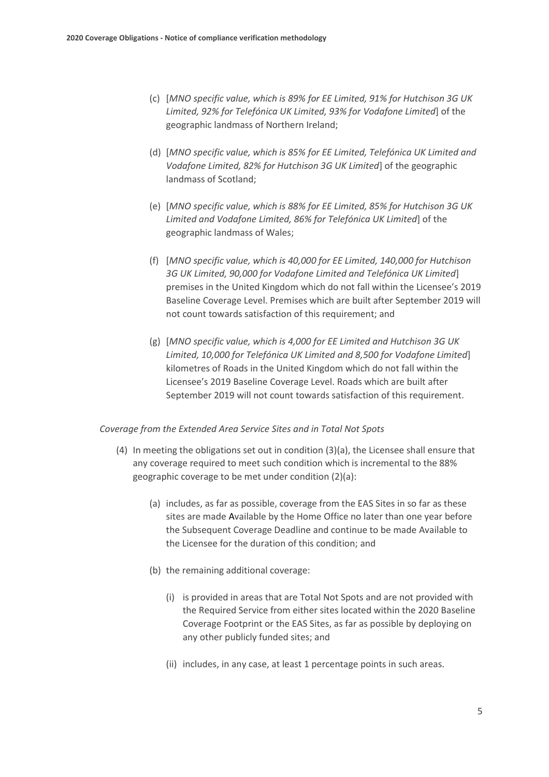- (c) [*MNO specific value, which is 89% for EE Limited, 91% for Hutchison 3G UK Limited, 92% for Telefónica UK Limited, 93% for Vodafone Limited*] of the geographic landmass of Northern Ireland;
- (d) [*MNO specific value, which is 85% for EE Limited, Telefónica UK Limited and Vodafone Limited, 82% for Hutchison 3G UK Limited*] of the geographic landmass of Scotland;
- (e) [*MNO specific value, which is 88% for EE Limited, 85% for Hutchison 3G UK Limited and Vodafone Limited, 86% for Telefónica UK Limited*] of the geographic landmass of Wales;
- (f) [*MNO specific value, which is 40,000 for EE Limited, 140,000 for Hutchison 3G UK Limited, 90,000 for Vodafone Limited and Telefónica UK Limited*] premises in the United Kingdom which do not fall within the Licensee's 2019 Baseline Coverage Level. Premises which are built after September 2019 will not count towards satisfaction of this requirement; and
- (g) [*MNO specific value, which is 4,000 for EE Limited and Hutchison 3G UK Limited, 10,000 for Telefónica UK Limited and 8,500 for Vodafone Limited*] kilometres of Roads in the United Kingdom which do not fall within the Licensee's 2019 Baseline Coverage Level. Roads which are built after September 2019 will not count towards satisfaction of this requirement.

#### *Coverage from the Extended Area Service Sites and in Total Not Spots*

- (4) In meeting the obligations set out in condition (3)(a), the Licensee shall ensure that any coverage required to meet such condition which is incremental to the 88% geographic coverage to be met under condition (2)(a):
	- (a) includes, as far as possible, coverage from the EAS Sites in so far as these sites are made Available by the Home Office no later than one year before the Subsequent Coverage Deadline and continue to be made Available to the Licensee for the duration of this condition; and
	- (b) the remaining additional coverage:
		- (i) is provided in areas that are Total Not Spots and are not provided with the Required Service from either sites located within the 2020 Baseline Coverage Footprint or the EAS Sites, as far as possible by deploying on any other publicly funded sites; and
		- (ii) includes, in any case, at least 1 percentage points in such areas.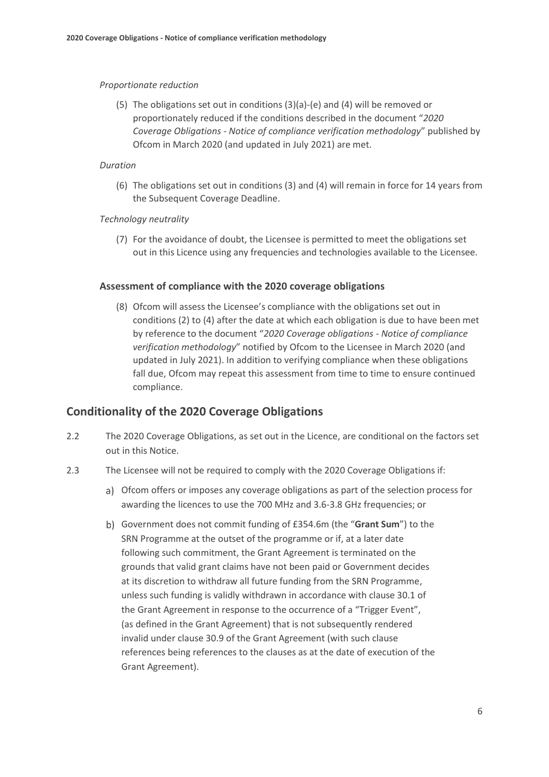#### *Proportionate reduction*

(5) The obligations set out in conditions (3)(a)-(e) and (4) will be removed or proportionately reduced if the conditions described in the document "*2020 Coverage Obligations - Notice of compliance verification methodology*" published by Ofcom in March 2020 (and updated in July 2021) are met.

#### *Duration*

(6) The obligations set out in conditions (3) and (4) will remain in force for 14 years from the Subsequent Coverage Deadline.

#### *Technology neutrality*

(7) For the avoidance of doubt, the Licensee is permitted to meet the obligations set out in this Licence using any frequencies and technologies available to the Licensee.

#### **Assessment of compliance with the 2020 coverage obligations**

(8) Ofcom will assess the Licensee's compliance with the obligations set out in conditions (2) to (4) after the date at which each obligation is due to have been met by reference to the document "*2020 Coverage obligations - Notice of compliance verification methodology*" notified by Ofcom to the Licensee in March 2020 (and updated in July 2021). In addition to verifying compliance when these obligations fall due, Ofcom may repeat this assessment from time to time to ensure continued compliance.

#### **Conditionality of the 2020 Coverage Obligations**

- 2.2 The 2020 Coverage Obligations, as set out in the Licence, are conditional on the factors set out in this Notice.
- 2.3 The Licensee will not be required to comply with the 2020 Coverage Obligations if:
	- Ofcom offers or imposes any coverage obligations as part of the selection process for awarding the licences to use the 700 MHz and 3.6-3.8 GHz frequencies; or
	- Government does not commit funding of £354.6m (the "**Grant Sum**") to the SRN Programme at the outset of the programme or if, at a later date following such commitment, the Grant Agreement is terminated on the grounds that valid grant claims have not been paid or Government decides at its discretion to withdraw all future funding from the SRN Programme, unless such funding is validly withdrawn in accordance with clause 30.1 of the Grant Agreement in response to the occurrence of a "Trigger Event", (as defined in the Grant Agreement) that is not subsequently rendered invalid under clause 30.9 of the Grant Agreement (with such clause references being references to the clauses as at the date of execution of the Grant Agreement).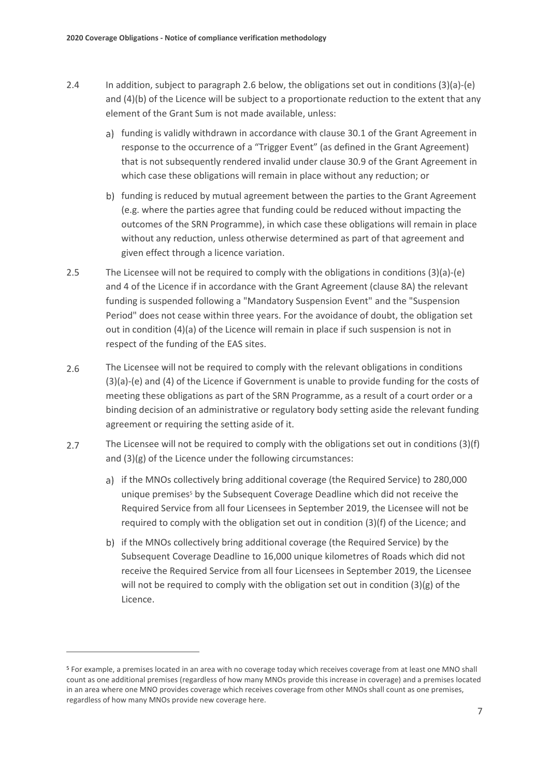- 2.4 In addition, subject to paragraph [2.6](#page-8-0) below, the obligations set out in conditions (3)(a)-(e) and (4)(b) of the Licence will be subject to a proportionate reduction to the extent that any element of the Grant Sum is not made available, unless:
	- a) funding is validly withdrawn in accordance with clause 30.1 of the Grant Agreement in response to the occurrence of a "Trigger Event" (as defined in the Grant Agreement) that is not subsequently rendered invalid under clause 30.9 of the Grant Agreement in which case these obligations will remain in place without any reduction; or
	- b) funding is reduced by mutual agreement between the parties to the Grant Agreement (e.g. where the parties agree that funding could be reduced without impacting the outcomes of the SRN Programme), in which case these obligations will remain in place without any reduction, unless otherwise determined as part of that agreement and given effect through a licence variation.
- 2.5 The Licensee will not be required to comply with the obligations in conditions  $(3)(a)-(e)$ and 4 of the Licence if in accordance with the Grant Agreement (clause 8A) the relevant funding is suspended following a "Mandatory Suspension Event" and the "Suspension Period" does not cease within three years. For the avoidance of doubt, the obligation set out in condition (4)(a) of the Licence will remain in place if such suspension is not in respect of the funding of the EAS sites.
- <span id="page-8-0"></span>2.6 The Licensee will not be required to comply with the relevant obligations in conditions (3)(a)-(e) and (4) of the Licence if Government is unable to provide funding for the costs of meeting these obligations as part of the SRN Programme, as a result of a court order or a binding decision of an administrative or regulatory body setting aside the relevant funding agreement or requiring the setting aside of it.
- 2.7 The Licensee will not be required to comply with the obligations set out in conditions (3)(f) and (3)(g) of the Licence under the following circumstances:
	- a) if the MNOs collectively bring additional coverage (the Required Service) to 280,000 unique premises<sup>5</sup> by the Subsequent Coverage Deadline which did not receive the Required Service from all four Licensees in September 2019, the Licensee will not be required to comply with the obligation set out in condition (3)(f) of the Licence; and
	- b) if the MNOs collectively bring additional coverage (the Required Service) by the Subsequent Coverage Deadline to 16,000 unique kilometres of Roads which did not receive the Required Service from all four Licensees in September 2019, the Licensee will not be required to comply with the obligation set out in condition (3)(g) of the Licence.

<sup>5</sup> For example, a premises located in an area with no coverage today which receives coverage from at least one MNO shall count as one additional premises (regardless of how many MNOs provide this increase in coverage) and a premises located in an area where one MNO provides coverage which receives coverage from other MNOs shall count as one premises, regardless of how many MNOs provide new coverage here.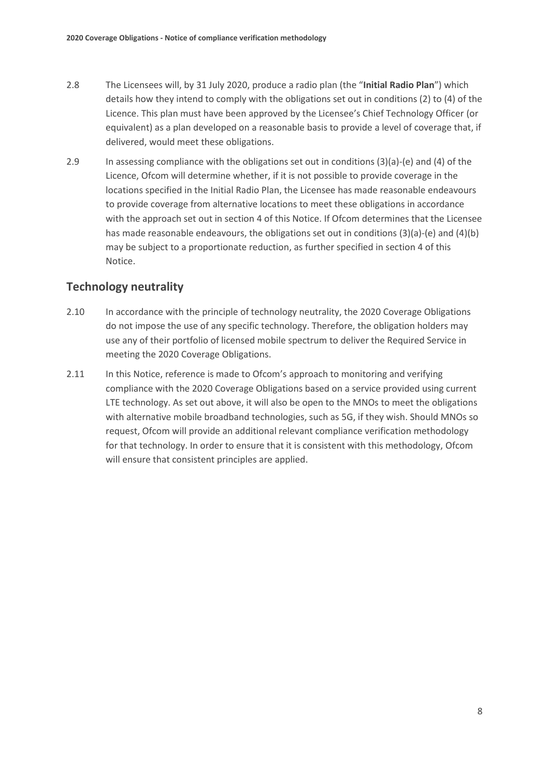- 2.8 The Licensees will, by 31 July 2020, produce a radio plan (the "**Initial Radio Plan**") which details how they intend to comply with the obligations set out in conditions (2) to (4) of the Licence. This plan must have been approved by the Licensee's Chief Technology Officer (or equivalent) as a plan developed on a reasonable basis to provide a level of coverage that, if delivered, would meet these obligations.
- 2.9 In assessing compliance with the obligations set out in conditions (3)(a)-(e) and (4) of the Licence, Ofcom will determine whether, if it is not possible to provide coverage in the locations specified in the Initial Radio Plan, the Licensee has made reasonable endeavours to provide coverage from alternative locations to meet these obligations in accordance with the approach set out in section 4 of this Notice. If Ofcom determines that the Licensee has made reasonable endeavours, the obligations set out in conditions (3)(a)-(e) and (4)(b) may be subject to a proportionate reduction, as further specified in section 4 of this Notice.

## **Technology neutrality**

- 2.10 In accordance with the principle of technology neutrality, the 2020 Coverage Obligations do not impose the use of any specific technology. Therefore, the obligation holders may use any of their portfolio of licensed mobile spectrum to deliver the Required Service in meeting the 2020 Coverage Obligations.
- 2.11 In this Notice, reference is made to Ofcom's approach to monitoring and verifying compliance with the 2020 Coverage Obligations based on a service provided using current LTE technology. As set out above, it will also be open to the MNOs to meet the obligations with alternative mobile broadband technologies, such as 5G, if they wish. Should MNOs so request, Ofcom will provide an additional relevant compliance verification methodology for that technology. In order to ensure that it is consistent with this methodology, Ofcom will ensure that consistent principles are applied.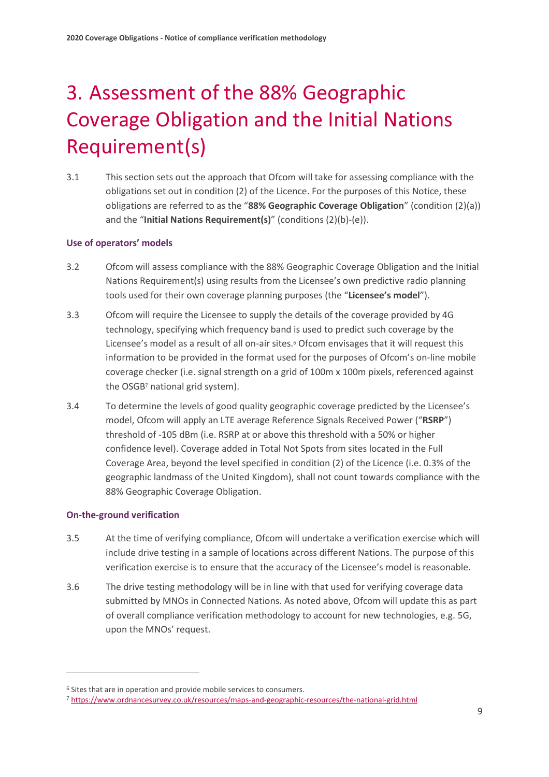# <span id="page-10-0"></span>3. Assessment of the 88% Geographic Coverage Obligation and the Initial Nations Requirement(s)

3.1 This section sets out the approach that Ofcom will take for assessing compliance with the obligations set out in condition (2) of the Licence. For the purposes of this Notice, these obligations are referred to as the "**88% Geographic Coverage Obligation**" (condition (2)(a)) and the "**Initial Nations Requirement(s)**" (conditions (2)(b)-(e)).

#### **Use of operators' models**

- 3.2 Ofcom will assess compliance with the 88% Geographic Coverage Obligation and the Initial Nations Requirement(s) using results from the Licensee's own predictive radio planning tools used for their own coverage planning purposes (the "**Licensee's model**").
- 3.3 Ofcom will require the Licensee to supply the details of the coverage provided by 4G technology, specifying which frequency band is used to predict such coverage by the Licensee's model as a result of all on-air sites.<sup>6</sup> Ofcom envisages that it will request this information to be provided in the format used for the purposes of Ofcom's on-line mobile coverage checker (i.e. signal strength on a grid of 100m x 100m pixels, referenced against the OSGB<sup>7</sup> national grid system).
- 3.4 To determine the levels of good quality geographic coverage predicted by the Licensee's model, Ofcom will apply an LTE average Reference Signals Received Power ("**RSRP**") threshold of -105 dBm (i.e. RSRP at or above this threshold with a 50% or higher confidence level). Coverage added in Total Not Spots from sites located in the Full Coverage Area, beyond the level specified in condition (2) of the Licence (i.e. 0.3% of the geographic landmass of the United Kingdom), shall not count towards compliance with the 88% Geographic Coverage Obligation.

#### **On-the-ground verification**

- <span id="page-10-1"></span>3.5 At the time of verifying compliance, Ofcom will undertake a verification exercise which will include drive testing in a sample of locations across different Nations. The purpose of this verification exercise is to ensure that the accuracy of the Licensee's model is reasonable.
- <span id="page-10-2"></span>3.6 The drive testing methodology will be in line with that used for verifying coverage data submitted by MNOs in Connected Nations. As noted above, Ofcom will update this as part of overall compliance verification methodology to account for new technologies, e.g. 5G, upon the MNOs' request.

<sup>6</sup> Sites that are in operation and provide mobile services to consumers.

<sup>7</sup> <https://www.ordnancesurvey.co.uk/resources/maps-and-geographic-resources/the-national-grid.html>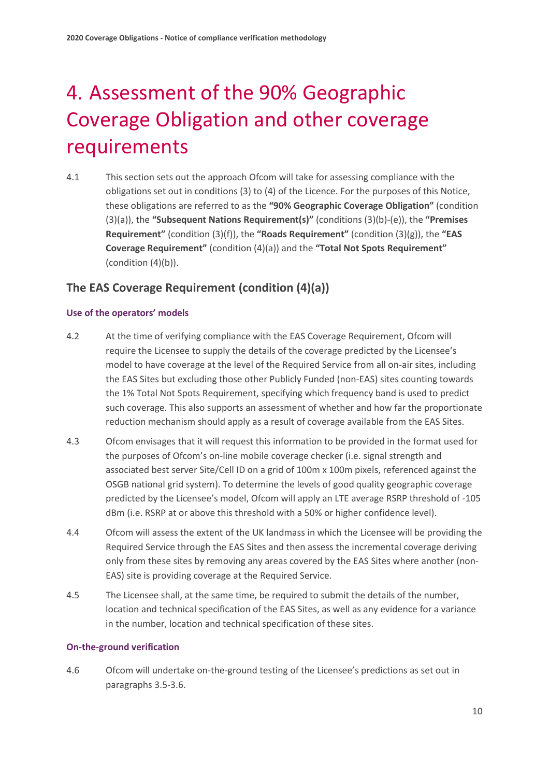# <span id="page-11-0"></span>4. Assessment of the 90% Geographic Coverage Obligation and other coverage requirements

4.1 This section sets out the approach Ofcom will take for assessing compliance with the obligations set out in conditions (3) to (4) of the Licence. For the purposes of this Notice, these obligations are referred to as the **"90% Geographic Coverage Obligation"** (condition (3)(a)), the **"Subsequent Nations Requirement(s)"** (conditions (3)(b)-(e)), the **"Premises Requirement"** (condition (3)(f)), the **"Roads Requirement"** (condition (3)(g)), the **"EAS Coverage Requirement"** (condition (4)(a)) and the **"Total Not Spots Requirement"** (condition (4)(b)).

## **The EAS Coverage Requirement (condition (4)(a))**

#### **Use of the operators' models**

- 4.2 At the time of verifying compliance with the EAS Coverage Requirement, Ofcom will require the Licensee to supply the details of the coverage predicted by the Licensee's model to have coverage at the level of the Required Service from all on-air sites, including the EAS Sites but excluding those other Publicly Funded (non-EAS) sites counting towards the 1% Total Not Spots Requirement, specifying which frequency band is used to predict such coverage. This also supports an assessment of whether and how far the proportionate reduction mechanism should apply as a result of coverage available from the EAS Sites.
- <span id="page-11-1"></span>4.3 Ofcom envisages that it will request this information to be provided in the format used for the purposes of Ofcom's on-line mobile coverage checker (i.e. signal strength and associated best server Site/Cell ID on a grid of 100m x 100m pixels, referenced against the OSGB national grid system). To determine the levels of good quality geographic coverage predicted by the Licensee's model, Ofcom will apply an LTE average RSRP threshold of -105 dBm (i.e. RSRP at or above this threshold with a 50% or higher confidence level).
- 4.4 Ofcom will assess the extent of the UK landmass in which the Licensee will be providing the Required Service through the EAS Sites and then assess the incremental coverage deriving only from these sites by removing any areas covered by the EAS Sites where another (non-EAS) site is providing coverage at the Required Service.
- 4.5 The Licensee shall, at the same time, be required to submit the details of the number, location and technical specification of the EAS Sites, as well as any evidence for a variance in the number, location and technical specification of these sites.

#### **On-the-ground verification**

4.6 Ofcom will undertake on-the-ground testing of the Licensee's predictions as set out in paragraphs [3.5](#page-10-1)[-3.6.](#page-10-2)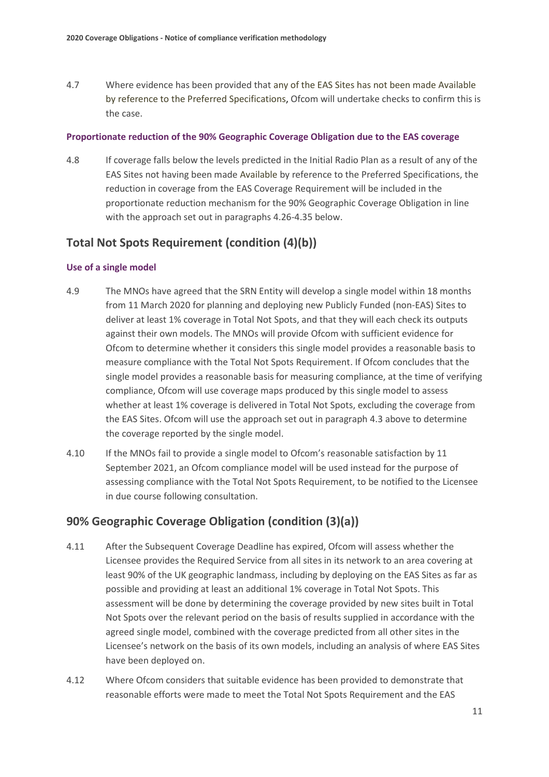4.7 Where evidence has been provided that any of the EAS Sites has not been made Available by reference to the Preferred Specifications, Ofcom will undertake checks to confirm this is the case.

#### **Proportionate reduction of the 90% Geographic Coverage Obligation due to the EAS coverage**

4.8 If coverage falls below the levels predicted in the Initial Radio Plan as a result of any of the EAS Sites not having been made Available by reference to the Preferred Specifications, the reduction in coverage from the EAS Coverage Requirement will be included in the proportionate reduction mechanism for the 90% Geographic Coverage Obligation in line with the approach set out in paragraphs [4.26](#page-14-0)[-4.35](#page-18-0) below.

### **Total Not Spots Requirement (condition (4)(b))**

#### **Use of a single model**

- <span id="page-12-0"></span>4.9 The MNOs have agreed that the SRN Entity will develop a single model within 18 months from 11 March 2020 for planning and deploying new Publicly Funded (non-EAS) Sites to deliver at least 1% coverage in Total Not Spots, and that they will each check its outputs against their own models. The MNOs will provide Ofcom with sufficient evidence for Ofcom to determine whether it considers this single model provides a reasonable basis to measure compliance with the Total Not Spots Requirement. If Ofcom concludes that the single model provides a reasonable basis for measuring compliance, at the time of verifying compliance, Ofcom will use coverage maps produced by this single model to assess whether at least 1% coverage is delivered in Total Not Spots, excluding the coverage from the EAS Sites. Ofcom will use the approach set out in paragraph [4.3](#page-11-1) above to determine the coverage reported by the single model.
- <span id="page-12-1"></span>4.10 If the MNOs fail to provide a single model to Ofcom's reasonable satisfaction by 11 September 2021, an Ofcom compliance model will be used instead for the purpose of assessing compliance with the Total Not Spots Requirement, to be notified to the Licensee in due course following consultation.

### **90% Geographic Coverage Obligation (condition (3)(a))**

- 4.11 After the Subsequent Coverage Deadline has expired, Ofcom will assess whether the Licensee provides the Required Service from all sites in its network to an area covering at least 90% of the UK geographic landmass, including by deploying on the EAS Sites as far as possible and providing at least an additional 1% coverage in Total Not Spots. This assessment will be done by determining the coverage provided by new sites built in Total Not Spots over the relevant period on the basis of results supplied in accordance with the agreed single model, combined with the coverage predicted from all other sites in the Licensee's network on the basis of its own models, including an analysis of where EAS Sites have been deployed on.
- 4.12 Where Ofcom considers that suitable evidence has been provided to demonstrate that reasonable efforts were made to meet the Total Not Spots Requirement and the EAS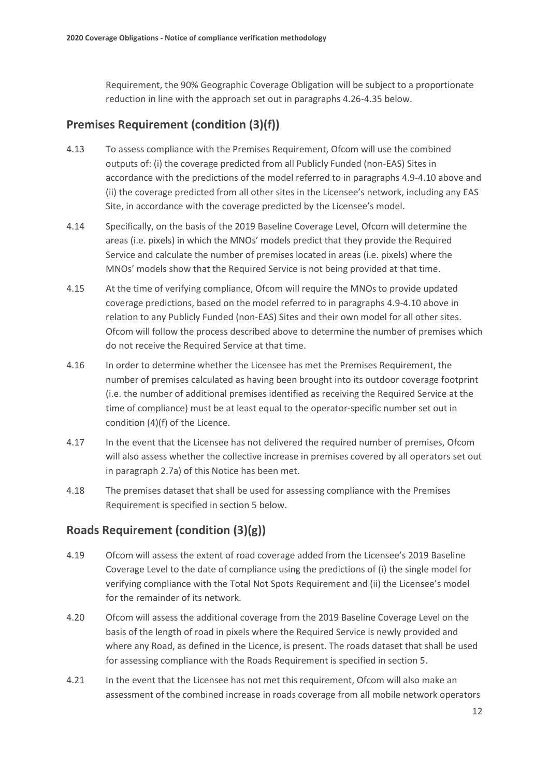Requirement, the 90% Geographic Coverage Obligation will be subject to a proportionate reduction in line with the approach set out in paragraphs [4.26](#page-14-0)[-4.35](#page-18-0) below.

# **Premises Requirement (condition (3)(f))**

- 4.13 To assess compliance with the Premises Requirement, Ofcom will use the combined outputs of: (i) the coverage predicted from all Publicly Funded (non-EAS) Sites in accordance with the predictions of the model referred to in paragraph[s 4.9-](#page-12-0)[4.10](#page-12-1) above and (ii) the coverage predicted from all other sites in the Licensee's network, including any EAS Site, in accordance with the coverage predicted by the Licensee's model.
- 4.14 Specifically, on the basis of the 2019 Baseline Coverage Level, Ofcom will determine the areas (i.e. pixels) in which the MNOs' models predict that they provide the Required Service and calculate the number of premises located in areas (i.e. pixels) where the MNOs' models show that the Required Service is not being provided at that time.
- 4.15 At the time of verifying compliance, Ofcom will require the MNOs to provide updated coverage predictions, based on the model referred to in paragraph[s 4.9-](#page-12-0)[4.10](#page-12-1) above in relation to any Publicly Funded (non-EAS) Sites and their own model for all other sites. Ofcom will follow the process described above to determine the number of premises which do not receive the Required Service at that time.
- 4.16 In order to determine whether the Licensee has met the Premises Requirement, the number of premises calculated as having been brought into its outdoor coverage footprint (i.e. the number of additional premises identified as receiving the Required Service at the time of compliance) must be at least equal to the operator-specific number set out in condition (4)(f) of the Licence.
- 4.17 In the event that the Licensee has not delivered the required number of premises, Ofcom will also assess whether the collective increase in premises covered by all operators set out in paragraph 2.7a) of this Notice has been met.
- 4.18 The premises dataset that shall be used for assessing compliance with the Premises Requirement is specified in section 5 below.

## **Roads Requirement (condition (3)(g))**

- 4.19 Ofcom will assess the extent of road coverage added from the Licensee's 2019 Baseline Coverage Level to the date of compliance using the predictions of (i) the single model for verifying compliance with the Total Not Spots Requirement and (ii) the Licensee's model for the remainder of its network.
- 4.20 Ofcom will assess the additional coverage from the 2019 Baseline Coverage Level on the basis of the length of road in pixels where the Required Service is newly provided and where any Road, as defined in the Licence, is present. The roads dataset that shall be used for assessing compliance with the Roads Requirement is specified in section 5.
- 4.21 In the event that the Licensee has not met this requirement, Ofcom will also make an assessment of the combined increase in roads coverage from all mobile network operators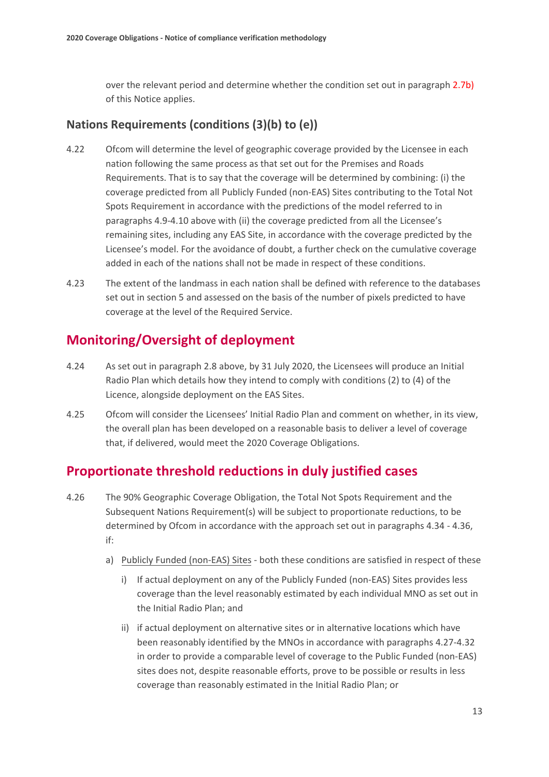over the relevant period and determine whether the condition set out in paragraph 2.7b) of this Notice applies.

## **Nations Requirements (conditions (3)(b) to (e))**

- 4.22 Ofcom will determine the level of geographic coverage provided by the Licensee in each nation following the same process as that set out for the Premises and Roads Requirements. That is to say that the coverage will be determined by combining: (i) the coverage predicted from all Publicly Funded (non-EAS) Sites contributing to the Total Not Spots Requirement in accordance with the predictions of the model referred to in paragraphs [4.9](#page-12-0)[-4.10](#page-12-1) above with (ii) the coverage predicted from all the Licensee's remaining sites, including any EAS Site, in accordance with the coverage predicted by the Licensee's model. For the avoidance of doubt, a further check on the cumulative coverage added in each of the nations shall not be made in respect of these conditions.
- 4.23 The extent of the landmass in each nation shall be defined with reference to the databases set out in section 5 and assessed on the basis of the number of pixels predicted to have coverage at the level of the Required Service.

# **Monitoring/Oversight of deployment**

- 4.24 As set out in paragraph 2.8 above, by 31 July 2020, the Licensees will produce an Initial Radio Plan which details how they intend to comply with conditions (2) to (4) of the Licence, alongside deployment on the EAS Sites.
- 4.25 Ofcom will consider the Licensees' Initial Radio Plan and comment on whether, in its view, the overall plan has been developed on a reasonable basis to deliver a level of coverage that, if delivered, would meet the 2020 Coverage Obligations.

# **Proportionate threshold reductions in duly justified cases**

- <span id="page-14-0"></span>4.26 The 90% Geographic Coverage Obligation, the Total Not Spots Requirement and the Subsequent Nations Requirement(s) will be subject to proportionate reductions, to be determined by Ofcom in accordance with the approach set out in paragraph[s 4.3](#page-18-0)4 [- 4.36,](#page-18-1) if:
	- a) Publicly Funded (non-EAS) Sites both these conditions are satisfied in respect of these
		- i) If actual deployment on any of the Publicly Funded (non-EAS) Sites provides less coverage than the level reasonably estimated by each individual MNO as set out in the Initial Radio Plan; and
		- ii) if actual deployment on alternative sites or in alternative locations which have been reasonably identified by the MNOs in accordance with paragraphs 4.27-4.32 in order to provide a comparable level of coverage to the Public Funded (non-EAS) sites does not, despite reasonable efforts, prove to be possible or results in less coverage than reasonably estimated in the Initial Radio Plan; or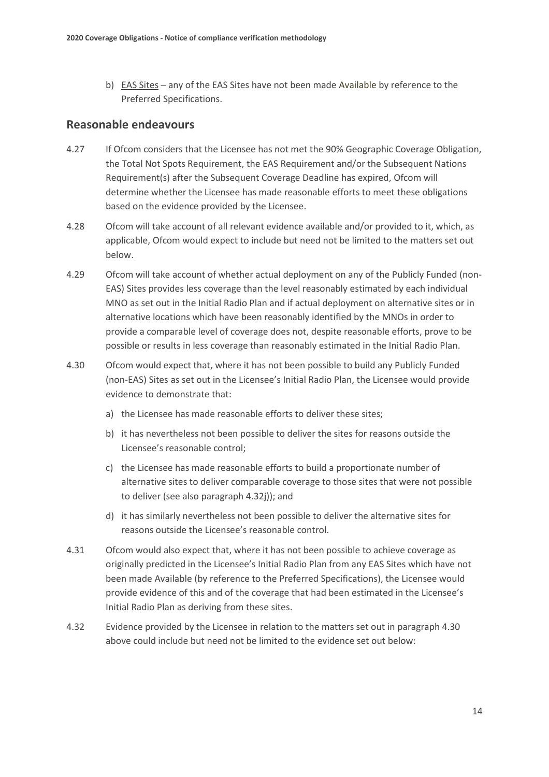b) EAS Sites – any of the EAS Sites have not been made Available by reference to the Preferred Specifications.

### **Reasonable endeavours**

- <span id="page-15-2"></span>4.27 If Ofcom considers that the Licensee has not met the 90% Geographic Coverage Obligation, the Total Not Spots Requirement, the EAS Requirement and/or the Subsequent Nations Requirement(s) after the Subsequent Coverage Deadline has expired, Ofcom will determine whether the Licensee has made reasonable efforts to meet these obligations based on the evidence provided by the Licensee.
- 4.28 Ofcom will take account of all relevant evidence available and/or provided to it, which, as applicable, Ofcom would expect to include but need not be limited to the matters set out below.
- 4.29 Ofcom will take account of whether actual deployment on any of the Publicly Funded (non-EAS) Sites provides less coverage than the level reasonably estimated by each individual MNO as set out in the Initial Radio Plan and if actual deployment on alternative sites or in alternative locations which have been reasonably identified by the MNOs in order to provide a comparable level of coverage does not, despite reasonable efforts, prove to be possible or results in less coverage than reasonably estimated in the Initial Radio Plan.
- <span id="page-15-0"></span>4.30 Ofcom would expect that, where it has not been possible to build any Publicly Funded (non-EAS) Sites as set out in the Licensee's Initial Radio Plan, the Licensee would provide evidence to demonstrate that:
	- a) the Licensee has made reasonable efforts to deliver these sites;
	- b) it has nevertheless not been possible to deliver the sites for reasons outside the Licensee's reasonable control;
	- c) the Licensee has made reasonable efforts to build a proportionate number of alternative sites to deliver comparable coverage to those sites that were not possible to deliver (see also paragrap[h 4.32j\)\)](#page-17-0); and
	- d) it has similarly nevertheless not been possible to deliver the alternative sites for reasons outside the Licensee's reasonable control.
- <span id="page-15-1"></span>4.31 Ofcom would also expect that, where it has not been possible to achieve coverage as originally predicted in the Licensee's Initial Radio Plan from any EAS Sites which have not been made Available (by reference to the Preferred Specifications), the Licensee would provide evidence of this and of the coverage that had been estimated in the Licensee's Initial Radio Plan as deriving from these sites.
- 4.32 Evidence provided by the Licensee in relation to the matters set out in paragraph [4.30](#page-15-0) above could include but need not be limited to the evidence set out below: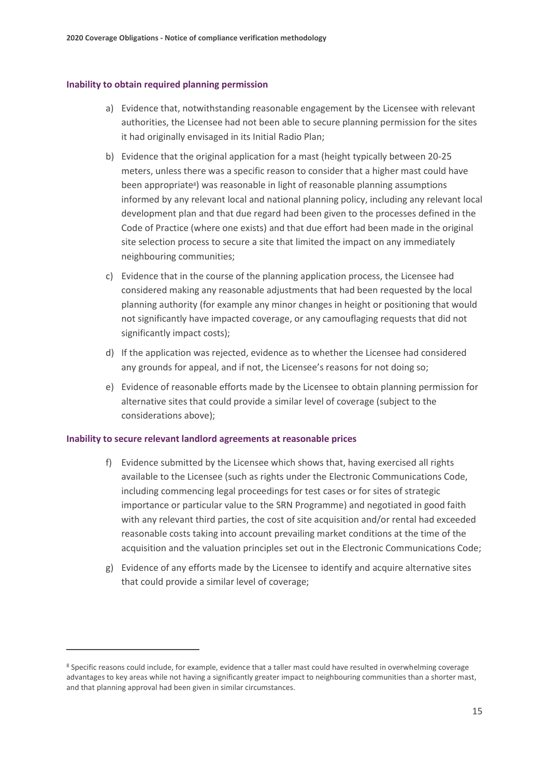#### **Inability to obtain required planning permission**

- a) Evidence that, notwithstanding reasonable engagement by the Licensee with relevant authorities, the Licensee had not been able to secure planning permission for the sites it had originally envisaged in its Initial Radio Plan;
- b) Evidence that the original application for a mast (height typically between 20-25 meters, unless there was a specific reason to consider that a higher mast could have been appropriate<sup>s</sup>) was reasonable in light of reasonable planning assumptions informed by any relevant local and national planning policy, including any relevant local development plan and that due regard had been given to the processes defined in the Code of Practice (where one exists) and that due effort had been made in the original site selection process to secure a site that limited the impact on any immediately neighbouring communities;
- c) Evidence that in the course of the planning application process, the Licensee had considered making any reasonable adjustments that had been requested by the local planning authority (for example any minor changes in height or positioning that would not significantly have impacted coverage, or any camouflaging requests that did not significantly impact costs);
- d) If the application was rejected, evidence as to whether the Licensee had considered any grounds for appeal, and if not, the Licensee's reasons for not doing so;
- e) Evidence of reasonable efforts made by the Licensee to obtain planning permission for alternative sites that could provide a similar level of coverage (subject to the considerations above);

#### **Inability to secure relevant landlord agreements at reasonable prices**

- f) Evidence submitted by the Licensee which shows that, having exercised all rights available to the Licensee (such as rights under the Electronic Communications Code, including commencing legal proceedings for test cases or for sites of strategic importance or particular value to the SRN Programme) and negotiated in good faith with any relevant third parties, the cost of site acquisition and/or rental had exceeded reasonable costs taking into account prevailing market conditions at the time of the acquisition and the valuation principles set out in the Electronic Communications Code;
- g) Evidence of any efforts made by the Licensee to identify and acquire alternative sites that could provide a similar level of coverage;

<sup>&</sup>lt;sup>8</sup> Specific reasons could include, for example, evidence that a taller mast could have resulted in overwhelming coverage advantages to key areas while not having a significantly greater impact to neighbouring communities than a shorter mast, and that planning approval had been given in similar circumstances.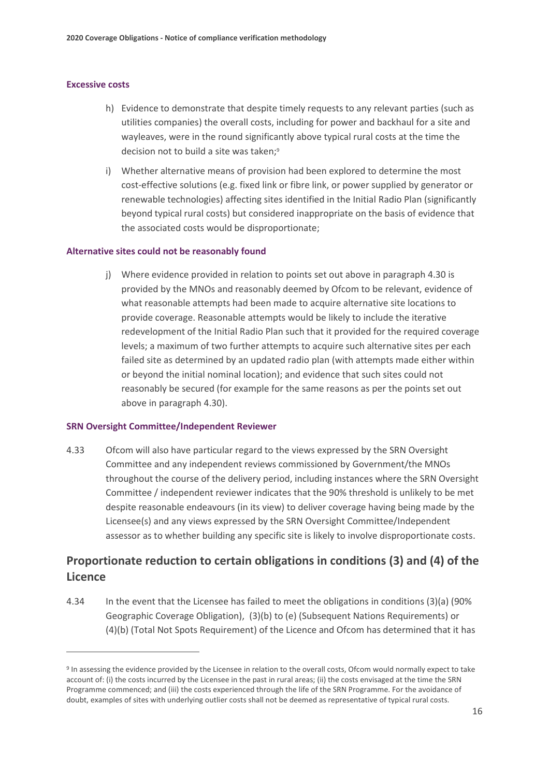#### **Excessive costs**

- h) Evidence to demonstrate that despite timely requests to any relevant parties (such as utilities companies) the overall costs, including for power and backhaul for a site and wayleaves, were in the round significantly above typical rural costs at the time the decision not to build a site was taken;<sup>9</sup>
- i) Whether alternative means of provision had been explored to determine the most cost-effective solutions (e.g. fixed link or fibre link, or power supplied by generator or renewable technologies) affecting sites identified in the Initial Radio Plan (significantly beyond typical rural costs) but considered inappropriate on the basis of evidence that the associated costs would be disproportionate;

#### <span id="page-17-0"></span>**Alternative sites could not be reasonably found**

j) Where evidence provided in relation to points set out above in paragraph [4.30](#page-15-1) is provided by the MNOs and reasonably deemed by Ofcom to be relevant, evidence of what reasonable attempts had been made to acquire alternative site locations to provide coverage. Reasonable attempts would be likely to include the iterative redevelopment of the Initial Radio Plan such that it provided for the required coverage levels; a maximum of two further attempts to acquire such alternative sites per each failed site as determined by an updated radio plan (with attempts made either within or beyond the initial nominal location); and evidence that such sites could not reasonably be secured (for example for the same reasons as per the points set out above in paragraph [4.30](#page-15-1)).

#### **SRN Oversight Committee/Independent Reviewer**

4.33 Ofcom will also have particular regard to the views expressed by the SRN Oversight Committee and any independent reviews commissioned by Government/the MNOs throughout the course of the delivery period, including instances where the SRN Oversight Committee / independent reviewer indicates that the 90% threshold is unlikely to be met despite reasonable endeavours (in its view) to deliver coverage having being made by the Licensee(s) and any views expressed by the SRN Oversight Committee/Independent assessor as to whether building any specific site is likely to involve disproportionate costs.

## **Proportionate reduction to certain obligations in conditions (3) and (4) of the Licence**

4.34 In the event that the Licensee has failed to meet the obligations in conditions (3)(a) (90% Geographic Coverage Obligation), (3)(b) to (e) (Subsequent Nations Requirements) or (4)(b) (Total Not Spots Requirement) of the Licence and Ofcom has determined that it has

<sup>&</sup>lt;sup>9</sup> In assessing the evidence provided by the Licensee in relation to the overall costs, Ofcom would normally expect to take account of: (i) the costs incurred by the Licensee in the past in rural areas; (ii) the costs envisaged at the time the SRN Programme commenced; and (iii) the costs experienced through the life of the SRN Programme. For the avoidance of doubt, examples of sites with underlying outlier costs shall not be deemed as representative of typical rural costs.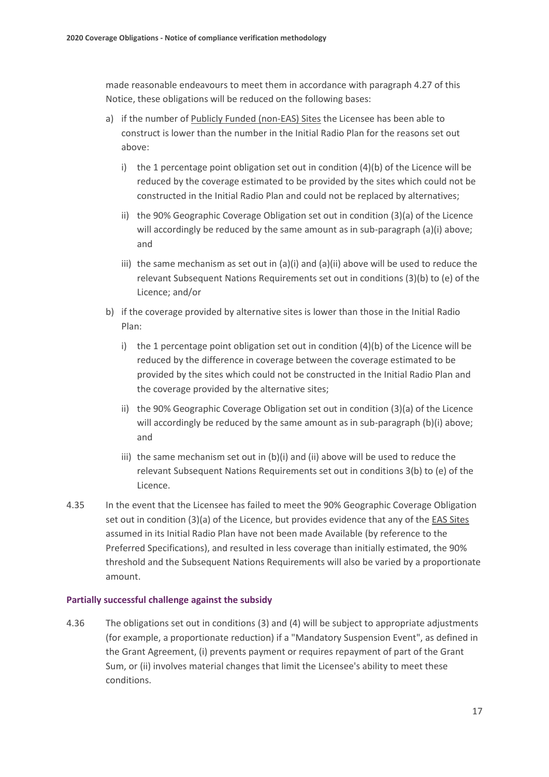made reasonable endeavours to meet them in accordance with paragrap[h 4.27](#page-15-2) of this Notice, these obligations will be reduced on the following bases:

- a) if the number of Publicly Funded (non-EAS) Sites the Licensee has been able to construct is lower than the number in the Initial Radio Plan for the reasons set out above:
	- i) the 1 percentage point obligation set out in condition  $(4)(b)$  of the Licence will be reduced by the coverage estimated to be provided by the sites which could not be constructed in the Initial Radio Plan and could not be replaced by alternatives;
	- ii) the 90% Geographic Coverage Obligation set out in condition (3)(a) of the Licence will accordingly be reduced by the same amount as in sub-paragraph (a)(i) above; and
	- iii) the same mechanism as set out in (a)(i) and (a)(ii) above will be used to reduce the relevant Subsequent Nations Requirements set out in conditions (3)(b) to (e) of the Licence; and/or
- b) if the coverage provided by alternative sites is lower than those in the Initial Radio Plan:
	- i) the 1 percentage point obligation set out in condition  $(4)(b)$  of the Licence will be reduced by the difference in coverage between the coverage estimated to be provided by the sites which could not be constructed in the Initial Radio Plan and the coverage provided by the alternative sites;
	- ii) the 90% Geographic Coverage Obligation set out in condition (3)(a) of the Licence will accordingly be reduced by the same amount as in sub-paragraph (b)(i) above; and
	- iii) the same mechanism set out in (b)(i) and (ii) above will be used to reduce the relevant Subsequent Nations Requirements set out in conditions 3(b) to (e) of the Licence.
- <span id="page-18-0"></span>4.35 In the event that the Licensee has failed to meet the 90% Geographic Coverage Obligation set out in condition (3)(a) of the Licence, but provides evidence that any of the EAS Sites assumed in its Initial Radio Plan have not been made Available (by reference to the Preferred Specifications), and resulted in less coverage than initially estimated, the 90% threshold and the Subsequent Nations Requirements will also be varied by a proportionate amount.

#### **Partially successful challenge against the subsidy**

<span id="page-18-1"></span>4.36 The obligations set out in conditions (3) and (4) will be subject to appropriate adjustments (for example, a proportionate reduction) if a "Mandatory Suspension Event", as defined in the Grant Agreement, (i) prevents payment or requires repayment of part of the Grant Sum, or (ii) involves material changes that limit the Licensee's ability to meet these conditions.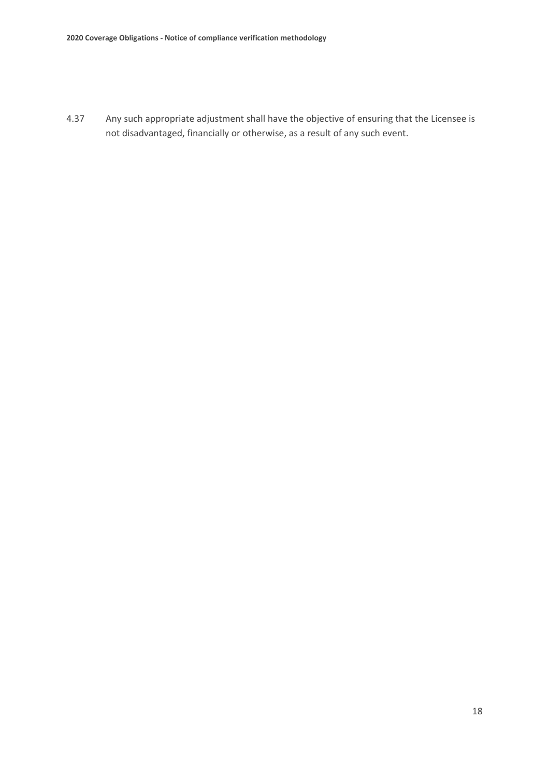4.37 Any such appropriate adjustment shall have the objective of ensuring that the Licensee is not disadvantaged, financially or otherwise, as a result of any such event.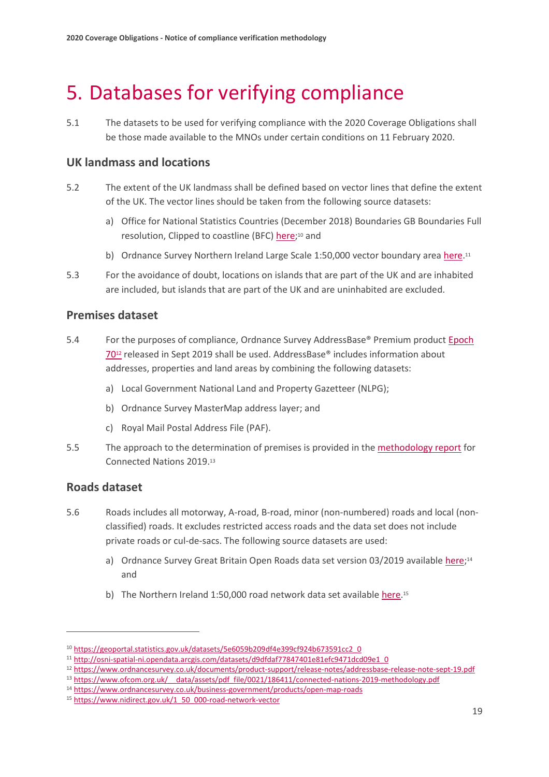# <span id="page-20-0"></span>5. Databases for verifying compliance

5.1 The datasets to be used for verifying compliance with the 2020 Coverage Obligations shall be those made available to the MNOs under certain conditions on 11 February 2020.

### **UK landmass and locations**

- 5.2 The extent of the UK landmass shall be defined based on vector lines that define the extent of the UK. The vector lines should be taken from the following source datasets:
	- a) Office for National Statistics Countries (December 2018) Boundaries GB Boundaries Full resolution, Clipped to coastline (BFC) **here**;<sup>10</sup> and
	- b) Ordnance Survey Northern Ireland Large Scale 1:50,000 vector boundary area [here.](https://ofcomuk.sharepoint.com/sites/fauc/cons/Compliance/here)<sup>11</sup>
- 5.3 For the avoidance of doubt, locations on islands that are part of the UK and are inhabited are included, but islands that are part of the UK and are uninhabited are excluded.

### **Premises dataset**

- 5.4 For the purposes of compliance, Ordnance Survey AddressBase® Premium product [Epoch](https://www.ordnancesurvey.co.uk/documents/product-support/release-notes/addressbase-release-note-sept-19.pdf)  [70](https://www.ordnancesurvey.co.uk/documents/product-support/release-notes/addressbase-release-note-sept-19.pdf)<sup>12</sup> released in Sept 2019 shall be used. AddressBase® includes information about addresses, properties and land areas by combining the following datasets:
	- a) Local Government National Land and Property Gazetteer (NLPG);
	- b) Ordnance Survey MasterMap address layer; and
	- c) Royal Mail Postal Address File (PAF).
- 5.5 The approach to the determination of premises is provided in the [methodology report](https://www.ofcom.org.uk/__data/assets/pdf_file/0021/186411/connected-nations-2019-methodology.pdf) for Connected Nations 2019.<sup>13</sup>

### **Roads dataset**

- 5.6 Roads includes all motorway, A-road, B-road, minor (non-numbered) roads and local (nonclassified) roads. It excludes restricted access roads and the data set does not include private roads or cul-de-sacs. The following source datasets are used:
	- a) Ordnance Survey Great Britain Open Roads data set version 03/2019 availabl[e here;](https://www.ordnancesurvey.co.uk/business-government/products/open-map-roads)<sup>14</sup> and
	- b) The Northern Ireland 1:50,000 road network data set availabl[e here.](https://ofcomuk.sharepoint.com/sites/fauc/cons/Compliance/here)<sup>15</sup>

<sup>10</sup> [https://geoportal.statistics.gov.uk/datasets/5e6059b209df4e399cf924b673591cc2\\_0](https://geoportal.statistics.gov.uk/datasets/5e6059b209df4e399cf924b673591cc2_0)

<sup>11</sup> [http://osni-spatial-ni.opendata.arcgis.com/datasets/d9dfdaf77847401e81efc9471dcd09e1\\_0](http://osni-spatial-ni.opendata.arcgis.com/datasets/d9dfdaf77847401e81efc9471dcd09e1_0)

<sup>12</sup> <https://www.ordnancesurvey.co.uk/documents/product-support/release-notes/addressbase-release-note-sept-19.pdf>

<sup>13</sup> https://www.ofcom.org.uk/ data/assets/pdf\_file/0021/186411/connected-nations-2019-methodology.pdf

<sup>14</sup> <https://www.ordnancesurvey.co.uk/business-government/products/open-map-roads>

<sup>15</sup> [https://www.nidirect.gov.uk/1\\_50\\_000-road-network-vector](https://www.nidirect.gov.uk/1_50_000-road-network-vector)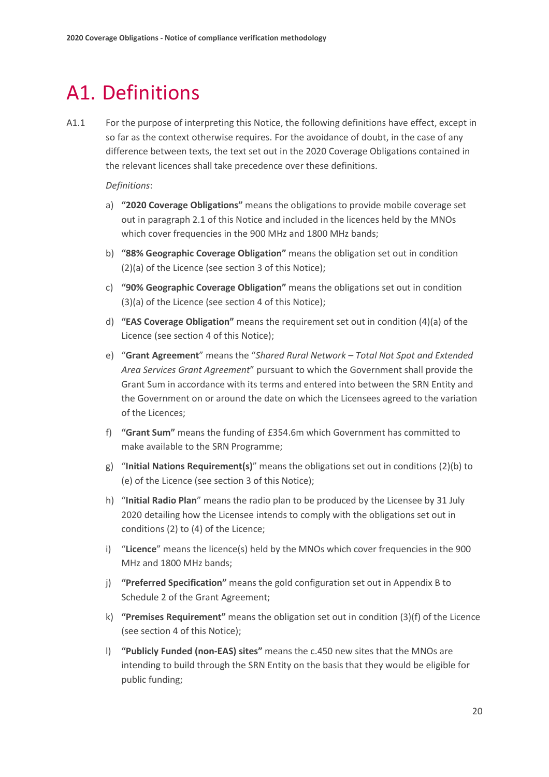# <span id="page-21-0"></span>A1. Definitions

A1.1 For the purpose of interpreting this Notice, the following definitions have effect, except in so far as the context otherwise requires. For the avoidance of doubt, in the case of any difference between texts, the text set out in the 2020 Coverage Obligations contained in the relevant licences shall take precedence over these definitions.

*Definitions*:

- a) **"2020 Coverage Obligations"** means the obligations to provide mobile coverage set out in paragraph 2.1 of this Notice and included in the licences held by the MNOs which cover frequencies in the 900 MHz and 1800 MHz bands;
- b) **"88% Geographic Coverage Obligation"** means the obligation set out in condition (2)(a) of the Licence (see section 3 of this Notice);
- c) **"90% Geographic Coverage Obligation"** means the obligations set out in condition (3)(a) of the Licence (see section 4 of this Notice);
- d) **"EAS Coverage Obligation"** means the requirement set out in condition (4)(a) of the Licence (see section 4 of this Notice);
- e) "**Grant Agreement**" means the "*Shared Rural Network – Total Not Spot and Extended Area Services Grant Agreement*" pursuant to which the Government shall provide the Grant Sum in accordance with its terms and entered into between the SRN Entity and the Government on or around the date on which the Licensees agreed to the variation of the Licences;
- f) **"Grant Sum"** means the funding of £354.6m which Government has committed to make available to the SRN Programme;
- g) "**Initial Nations Requirement(s)**" means the obligations set out in conditions (2)(b) to (e) of the Licence (see section 3 of this Notice);
- h) "**Initial Radio Plan**" means the radio plan to be produced by the Licensee by 31 July 2020 detailing how the Licensee intends to comply with the obligations set out in conditions (2) to (4) of the Licence;
- i) "**Licence**" means the licence(s) held by the MNOs which cover frequencies in the 900 MHz and 1800 MHz bands;
- j) **"Preferred Specification"** means the gold configuration set out in Appendix B to Schedule 2 of the Grant Agreement;
- k) **"Premises Requirement"** means the obligation set out in condition (3)(f) of the Licence (see section 4 of this Notice);
- l) **"Publicly Funded (non-EAS) sites"** means the c.450 new sites that the MNOs are intending to build through the SRN Entity on the basis that they would be eligible for public funding;